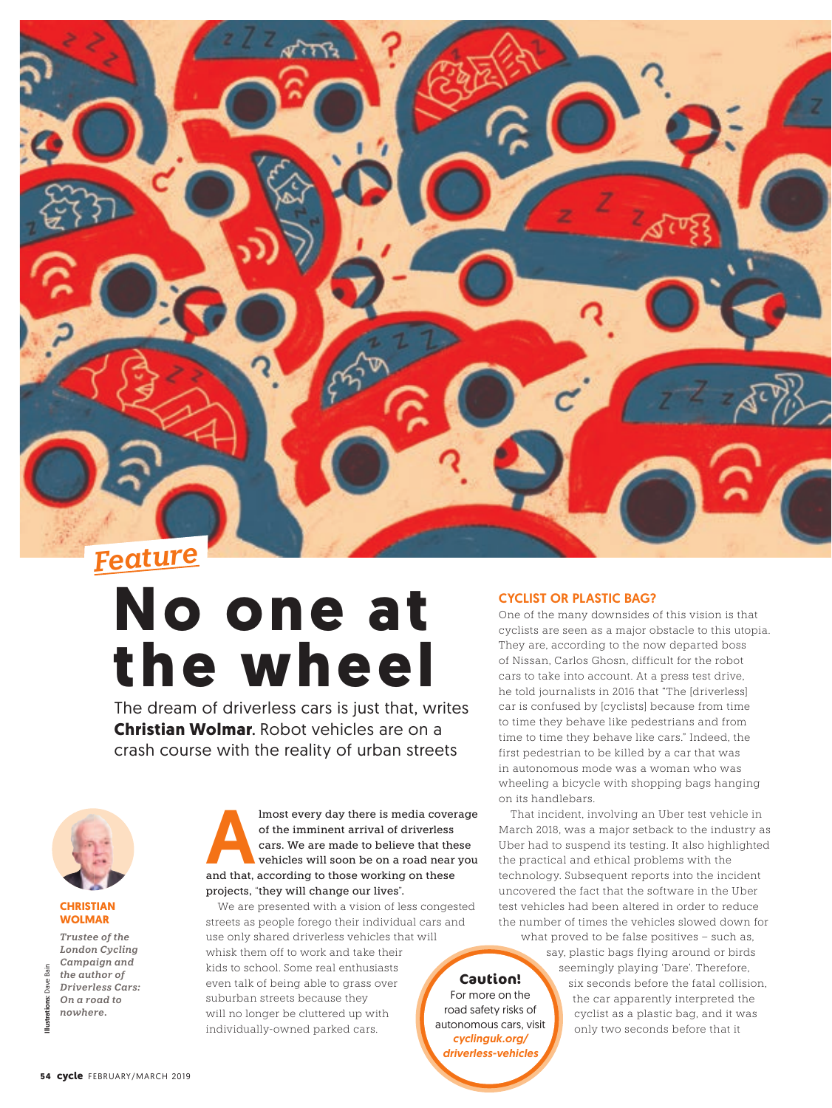

# **No one at the wheel**

The dream of driverless cars is just that, writes **Christian Wolmar**. Robot vehicles are on a crash course with the reality of urban streets



## **CHRISTIAN WOLMAR**

*Trustee of the London Cycling Campaign and the author of Driverless Cars: On a road to nowhere.*

Imost every day there is media coverage<br>
of the imminent arrival of driverless<br>
cars. We are made to believe that these<br>
vehicles will soon be on a road near you<br>
and that, according to those working on these of the imminent arrival of driverless cars. We are made to believe that these vehicles will soon be on a road near you projects, "they will change our lives".

We are presented with a vision of less congested streets as people forego their individual cars and use only shared driverless vehicles that will whisk them off to work and take their kids to school. Some real enthusiasts even talk of being able to grass over suburban streets because they will no longer be cluttered up with individually-owned parked cars. **Caution!** For more on the road safety risks of autonomous cars, visit *cyclinguk.org/*

*driverless-vehicles*

# CYCLIST OR PLASTIC BAG?

One of the many downsides of this vision is that cyclists are seen as a major obstacle to this utopia. They are, according to the now departed boss of Nissan, Carlos Ghosn, difficult for the robot cars to take into account. At a press test drive, he told journalists in 2016 that "The [driverless] car is confused by [cyclists] because from time to time they behave like pedestrians and from time to time they behave like cars." Indeed, the first pedestrian to be killed by a car that was in autonomous mode was a woman who was wheeling a bicycle with shopping bags hanging on its handlebars.

That incident, involving an Uber test vehicle in March 2018, was a major setback to the industry as Uber had to suspend its testing. It also highlighted the practical and ethical problems with the technology. Subsequent reports into the incident uncovered the fact that the software in the Uber test vehicles had been altered in order to reduce the number of times the vehicles slowed down for what proved to be false positives – such as,

say, plastic bags flying around or birds seemingly playing 'Dare'. Therefore, six seconds before the fatal collision, the car apparently interpreted the cyclist as a plastic bag, and it was only two seconds before that it